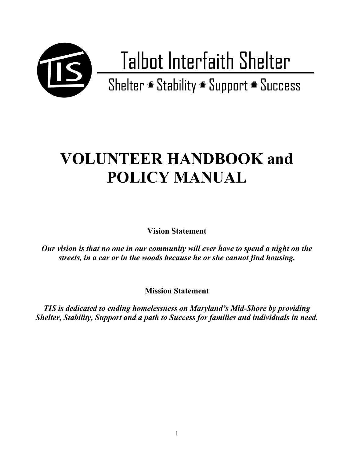

# **VOLUNTEER HANDBOOK and POLICY MANUAL**

**Vision Statement**

*Our vision is that no one in our community will ever have to spend a night on the streets, in a car or in the woods because he or she cannot find housing.*

**Mission Statement**

*TIS is dedicated to ending homelessness on Maryland's Mid-Shore by providing Shelter, Stability, Support and a path to Success for families and individuals in need.*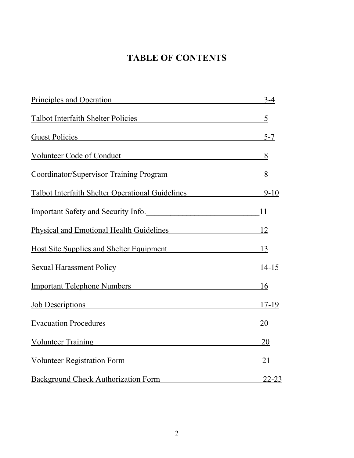# **TABLE OF CONTENTS**

| Principles and Operation                                                                                                                 | $3 - 4$   |
|------------------------------------------------------------------------------------------------------------------------------------------|-----------|
| Talbot Interfaith Shelter Policies                                                                                                       | 5         |
| <b>Guest Policies</b>                                                                                                                    | $5 - 7$   |
| Volunteer Code of Conduct                                                                                                                | 8         |
| Coordinator/Supervisor Training Program                                                                                                  | 8         |
| Talbot Interfaith Shelter Operational Guidelines                                                                                         | $9 - 10$  |
| <b>Important Safety and Security Info.</b>                                                                                               | 11        |
| Physical and Emotional Health Guidelines                                                                                                 | 12        |
| <b>Host Site Supplies and Shelter Equipment</b>                                                                                          | 13        |
| <b>Sexual Harassment Policy Example 2014</b>                                                                                             | $14-15$   |
| Important Telephone Numbers Manuscripture and Manuscripture and Manuscripture and Manuscripture and Manuscripture                        | 16        |
| Job Descriptions<br><u> 1980 - Jan Stein Stein Stein Stein Stein Stein Stein Stein Stein Stein Stein Stein Stein Stein Stein Stein S</u> | 17-19     |
| <b>Evacuation Procedures</b><br><u> 1980 - Jan Stein Stein, Amerikaansk politiker († 1908)</u>                                           | 20        |
| Volunteer Training<br>Volunteer Training                                                                                                 | 20        |
| <b>Volunteer Registration Form</b>                                                                                                       | 21        |
| <b>Background Check Authorization Form</b>                                                                                               | $22 - 23$ |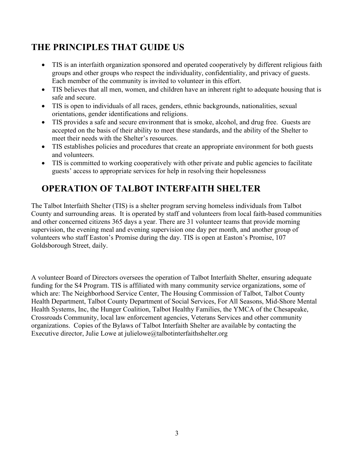# **THE PRINCIPLES THAT GUIDE US**

- TIS is an interfaith organization sponsored and operated cooperatively by different religious faith groups and other groups who respect the individuality, confidentiality, and privacy of guests. Each member of the community is invited to volunteer in this effort.
- TIS believes that all men, women, and children have an inherent right to adequate housing that is safe and secure.
- TIS is open to individuals of all races, genders, ethnic backgrounds, nationalities, sexual orientations, gender identifications and religions.
- TIS provides a safe and secure environment that is smoke, alcohol, and drug free. Guests are accepted on the basis of their ability to meet these standards, and the ability of the Shelter to meet their needs with the Shelter's resources.
- TIS establishes policies and procedures that create an appropriate environment for both guests and volunteers.
- TIS is committed to working cooperatively with other private and public agencies to facilitate guests' access to appropriate services for help in resolving their hopelessness

# **OPERATION OF TALBOT INTERFAITH SHELTER**

The Talbot Interfaith Shelter (TIS) is a shelter program serving homeless individuals from Talbot County and surrounding areas. It is operated by staff and volunteers from local faith-based communities and other concerned citizens 365 days a year. There are 31 volunteer teams that provide morning supervision, the evening meal and evening supervision one day per month, and another group of volunteers who staff Easton's Promise during the day. TIS is open at Easton's Promise, 107 Goldsborough Street, daily.

A volunteer Board of Directors oversees the operation of Talbot Interfaith Shelter, ensuring adequate funding for the S4 Program. TIS is affiliated with many community service organizations, some of which are: The Neighborhood Service Center, The Housing Commission of Talbot, Talbot County Health Department, Talbot County Department of Social Services, For All Seasons, Mid-Shore Mental Health Systems, Inc, the Hunger Coalition, Talbot Healthy Families, the YMCA of the Chesapeake, Crossroads Community, local law enforcement agencies, Veterans Services and other community organizations. Copies of the Bylaws of Talbot Interfaith Shelter are available by contacting the Executive director, Julie Lowe at julielowe@talbotinterfaithshelter.org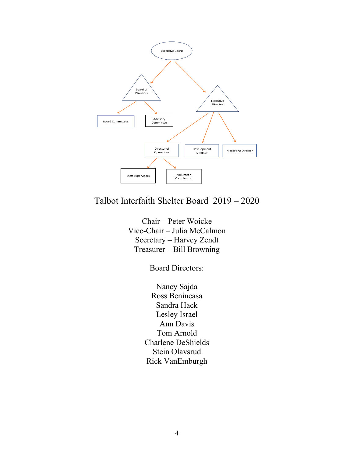

# Talbot Interfaith Shelter Board 2019 – 2020

Chair – Peter Woicke Vice-Chair – Julia McCalmon Secretary – Harvey Zendt Treasurer – Bill Browning

Board Directors:

Nancy Sajda Ross Benincasa Sandra Hack Lesley Israel Ann Davis Tom Arnold Charlene DeShields Stein Olavsrud Rick VanEmburgh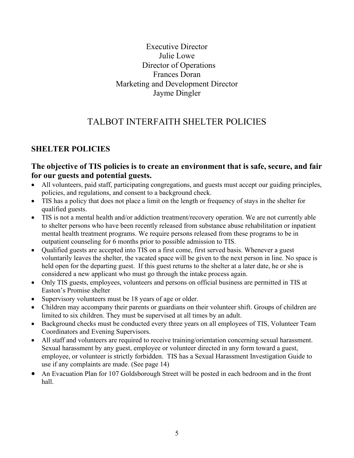### Executive Director Julie Lowe Director of Operations Frances Doran Marketing and Development Director Jayme Dingler

# TALBOT INTERFAITH SHELTER POLICIES

# **SHELTER POLICIES**

### **The objective of TIS policies is to create an environment that is safe, secure, and fair for our guests and potential guests.**

- All volunteers, paid staff, participating congregations, and guests must accept our guiding principles, policies, and regulations, and consent to a background check.
- TIS has a policy that does not place a limit on the length or frequency of stays in the shelter for qualified guests.
- TIS is not a mental health and/or addiction treatment/recovery operation. We are not currently able to shelter persons who have been recently released from substance abuse rehabilitation or inpatient mental health treatment programs. We require persons released from these programs to be in outpatient counseling for 6 months prior to possible admission to TIS.
- Qualified guests are accepted into TIS on a first come, first served basis. Whenever a guest voluntarily leaves the shelter, the vacated space will be given to the next person in line. No space is held open for the departing guest. If this guest returns to the shelter at a later date, he or she is considered a new applicant who must go through the intake process again.
- Only TIS guests, employees, volunteers and persons on official business are permitted in TIS at Easton's Promise shelter
- Supervisory volunteers must be 18 years of age or older.
- Children may accompany their parents or guardians on their volunteer shift. Groups of children are limited to six children. They must be supervised at all times by an adult.
- Background checks must be conducted every three years on all employees of TIS, Volunteer Team Coordinators and Evening Supervisors.
- All staff and volunteers are required to receive training/orientation concerning sexual harassment. Sexual harassment by any guest, employee or volunteer directed in any form toward a guest, employee, or volunteer is strictly forbidden. TIS has a Sexual Harassment Investigation Guide to use if any complaints are made. (See page 14)
- An Evacuation Plan for 107 Goldsborough Street will be posted in each bedroom and in the front hall.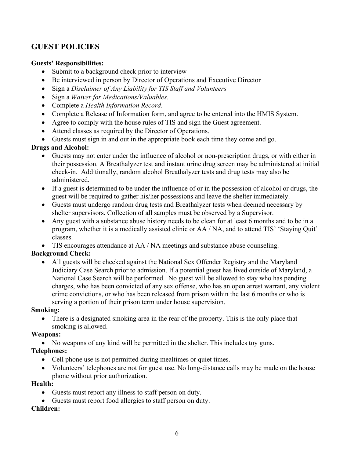### **GUEST POLICIES**

#### **Guests' Responsibilities:**

- Submit to a background check prior to interview
- Be interviewed in person by Director of Operations and Executive Director
- Sign a *Disclaimer of Any Liability for TIS Staff and Volunteers*
- Sign a *Waiver for Medications/Valuables.*
- Complete a *Health Information Record*.
- Complete a Release of Information form, and agree to be entered into the HMIS System.
- Agree to comply with the house rules of TIS and sign the Guest agreement.
- Attend classes as required by the Director of Operations.
- Guests must sign in and out in the appropriate book each time they come and go.

#### **Drugs and Alcohol:**

- Guests may not enter under the influence of alcohol or non-prescription drugs, or with either in their possession. A Breathalyzer test and instant urine drug screen may be administered at initial check-in. Additionally, random alcohol Breathalyzer tests and drug tests may also be administered.
- If a guest is determined to be under the influence of or in the possession of alcohol or drugs, the guest will be required to gather his/her possessions and leave the shelter immediately.
- Guests must undergo random drug tests and Breathalyzer tests when deemed necessary by shelter supervisors. Collection of all samples must be observed by a Supervisor.
- Any guest with a substance abuse history needs to be clean for at least 6 months and to be in a program, whether it is a medically assisted clinic or AA / NA, and to attend TIS' 'Staying Quit' classes.
- TIS encourages attendance at AA / NA meetings and substance abuse counseling.

#### **Background Check:**

• All guests will be checked against the National Sex Offender Registry and the Maryland Judiciary Case Search prior to admission. If a potential guest has lived outside of Maryland, a National Case Search will be performed. No guest will be allowed to stay who has pending charges, who has been convicted of any sex offense, who has an open arrest warrant, any violent crime convictions, or who has been released from prison within the last 6 months or who is serving a portion of their prison term under house supervision.

#### **Smoking:**

There is a designated smoking area in the rear of the property. This is the only place that smoking is allowed.

#### **Weapons:**

• No weapons of any kind will be permitted in the shelter. This includes toy guns.

#### **Telephones:**

- Cell phone use is not permitted during mealtimes or quiet times.
- Volunteers' telephones are not for guest use. No long-distance calls may be made on the house phone without prior authorization.

#### **Health:**

- Guests must report any illness to staff person on duty.
- Guests must report food allergies to staff person on duty.

#### **Children:**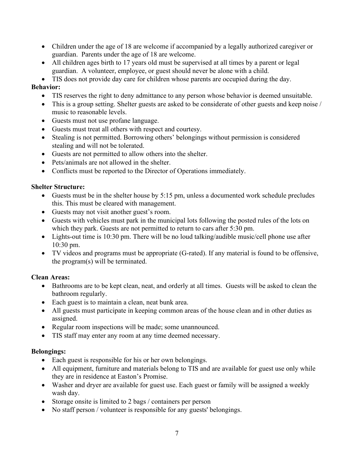- Children under the age of 18 are welcome if accompanied by a legally authorized caregiver or guardian. Parents under the age of 18 are welcome.
- All children ages birth to 17 years old must be supervised at all times by a parent or legal guardian. A volunteer, employee, or guest should never be alone with a child.

• TIS does not provide day care for children whose parents are occupied during the day.

#### **Behavior:**

- TIS reserves the right to deny admittance to any person whose behavior is deemed unsuitable.
- This is a group setting. Shelter guests are asked to be considerate of other guests and keep noise / music to reasonable levels.
- Guests must not use profane language.
- Guests must treat all others with respect and courtesy.
- Stealing is not permitted. Borrowing others' belongings without permission is considered stealing and will not be tolerated.
- Guests are not permitted to allow others into the shelter.
- Pets/animals are not allowed in the shelter.
- Conflicts must be reported to the Director of Operations immediately.

#### **Shelter Structure:**

- Guests must be in the shelter house by 5:15 pm, unless a documented work schedule precludes this. This must be cleared with management.
- Guests may not visit another guest's room.
- Guests with vehicles must park in the municipal lots following the posted rules of the lots on which they park. Guests are not permitted to return to cars after 5:30 pm.
- Lights-out time is 10:30 pm. There will be no loud talking/audible music/cell phone use after 10:30 pm.
- TV videos and programs must be appropriate (G-rated). If any material is found to be offensive, the program(s) will be terminated.

#### **Clean Areas:**

- Bathrooms are to be kept clean, neat, and orderly at all times. Guests will be asked to clean the bathroom regularly.
- Each guest is to maintain a clean, neat bunk area.
- All guests must participate in keeping common areas of the house clean and in other duties as assigned.
- Regular room inspections will be made; some unannounced.
- TIS staff may enter any room at any time deemed necessary.

#### **Belongings:**

- Each guest is responsible for his or her own belongings.
- All equipment, furniture and materials belong to TIS and are available for guest use only while they are in residence at Easton's Promise.
- Washer and dryer are available for guest use. Each guest or family will be assigned a weekly wash day.
- Storage onsite is limited to 2 bags / containers per person
- No staff person / volunteer is responsible for any guests' belongings.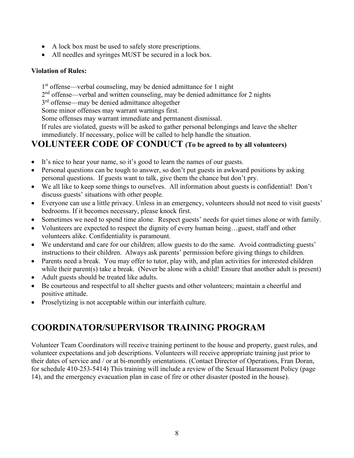- A lock box must be used to safely store prescriptions.
- All needles and syringes MUST be secured in a lock box.

#### **Violation of Rules:**

1st offense—verbal counseling, may be denied admittance for 1 night

2<sup>nd</sup> offense—verbal and written counseling, may be denied admittance for 2 nights

3<sup>rd</sup> offense—may be denied admittance altogether

Some minor offenses may warrant warnings first.

Some offenses may warrant immediate and permanent dismissal.

If rules are violated, guests will be asked to gather personal belongings and leave the shelter immediately. If necessary, police will be called to help handle the situation.

## **VOLUNTEER CODE OF CONDUCT (To be agreed to by all volunteers)**

- It's nice to hear your name, so it's good to learn the names of our guests.
- Personal questions can be tough to answer, so don't put guests in awkward positions by asking personal questions. If guests want to talk, give them the chance but don't pry.
- We all like to keep some things to ourselves. All information about guests is confidential! Don't discuss guests' situations with other people.
- Everyone can use a little privacy. Unless in an emergency, volunteers should not need to visit guests' bedrooms. If it becomes necessary, please knock first.
- Sometimes we need to spend time alone. Respect guests' needs for quiet times alone or with family.
- Volunteers are expected to respect the dignity of every human being...guest, staff and other volunteers alike. Confidentiality is paramount.
- We understand and care for our children; allow guests to do the same. Avoid contradicting guests' instructions to their children. Always ask parents' permission before giving things to children.
- Parents need a break. You may offer to tutor, play with, and plan activities for interested children while their parent(s) take a break. (Never be alone with a child! Ensure that another adult is present)
- Adult guests should be treated like adults.
- Be courteous and respectful to all shelter guests and other volunteers; maintain a cheerful and positive attitude.
- Proselytizing is not acceptable within our interfaith culture.

# **COORDINATOR/SUPERVISOR TRAINING PROGRAM**

Volunteer Team Coordinators will receive training pertinent to the house and property, guest rules, and volunteer expectations and job descriptions. Volunteers will receive appropriate training just prior to their dates of service and / or at bi-monthly orientations. (Contact Director of Operations, Fran Doran, for schedule 410-253-5414) This training will include a review of the Sexual Harassment Policy (page 14), and the emergency evacuation plan in case of fire or other disaster (posted in the house).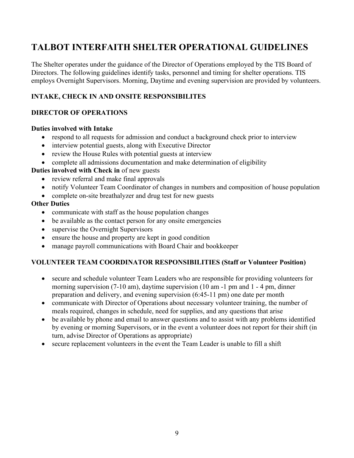# **TALBOT INTERFAITH SHELTER OPERATIONAL GUIDELINES**

The Shelter operates under the guidance of the Director of Operations employed by the TIS Board of Directors. The following guidelines identify tasks, personnel and timing for shelter operations. TIS employs Overnight Supervisors. Morning, Daytime and evening supervision are provided by volunteers.

### **INTAKE, CHECK IN AND ONSITE RESPONSIBILITES**

#### **DIRECTOR OF OPERATIONS**

#### **Duties involved with Intake**

- respond to all requests for admission and conduct a background check prior to interview
- interview potential guests, along with Executive Director
- review the House Rules with potential guests at interview
- complete all admissions documentation and make determination of eligibility

#### **Duties involved with Check in** of new guests

- review referral and make final approvals
- notify Volunteer Team Coordinator of changes in numbers and composition of house population
- complete on-site breathalyzer and drug test for new guests

#### **Other Duties**

- communicate with staff as the house population changes
- be available as the contact person for any onsite emergencies
- supervise the Overnight Supervisors
- ensure the house and property are kept in good condition
- manage payroll communications with Board Chair and bookkeeper

#### **VOLUNTEER TEAM COORDINATOR RESPONSIBILITIES (Staff or Volunteer Position)**

- secure and schedule volunteer Team Leaders who are responsible for providing volunteers for morning supervision (7-10 am), daytime supervision (10 am -1 pm and 1 - 4 pm, dinner preparation and delivery, and evening supervision (6:45-11 pm) one date per month
- communicate with Director of Operations about necessary volunteer training, the number of meals required, changes in schedule, need for supplies, and any questions that arise
- be available by phone and email to answer questions and to assist with any problems identified by evening or morning Supervisors, or in the event a volunteer does not report for their shift (in turn, advise Director of Operations as appropriate)
- secure replacement volunteers in the event the Team Leader is unable to fill a shift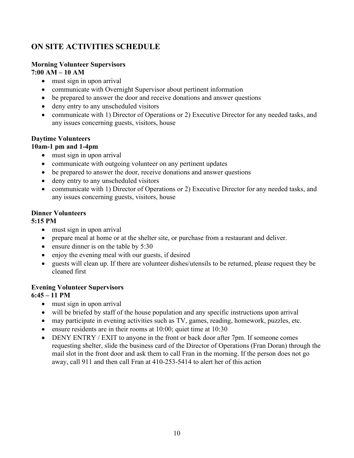# **ON SITE ACTIVITIES SCHEDULE**

#### **Morning Volunteer Supervisors 7:00 AM – 10 AM**

- must sign in upon arrival
- communicate with Overnight Supervisor about pertinent information
- be prepared to answer the door and receive donations and answer questions
- deny entry to any unscheduled visitors
- communicate with 1) Director of Operations or 2) Executive Director for any needed tasks, and any issues concerning guests, visitors, house

#### **Daytime Volunteers**

#### **10am-1 pm and 1-4pm**

- must sign in upon arrival
- communicate with outgoing volunteer on any pertinent updates
- be prepared to answer the door, receive donations and answer questions
- deny entry to any unscheduled visitors
- communicate with 1) Director of Operations or 2) Executive Director for any needed tasks, and any issues concerning guests, visitors, house

#### **Dinner Volunteers**

#### **5:15 PM**

- must sign in upon arrival
- prepare meal at home or at the shelter site, or purchase from a restaurant and deliver.
- ensure dinner is on the table by 5:30
- enjoy the evening meal with our guests, if desired
- guests will clean up. If there are volunteer dishes/utensils to be returned, please request they be cleaned first

#### **Evening Volunteer Supervisors**

#### **6:45 – 11 PM**

- must sign in upon arrival
- will be briefed by staff of the house population and any specific instructions upon arrival
- may participate in evening activities such as TV, games, reading, homework, puzzles, etc.
- ensure residents are in their rooms at 10:00; quiet time at 10:30
- DENY ENTRY / EXIT to anyone in the front or back door after 7pm. If someone comes requesting shelter, slide the business card of the Director of Operations (Fran Doran) through the mail slot in the front door and ask them to call Fran in the morning. If the person does not go away, call 911 and then call Fran at 410-253-5414 to alert her of this action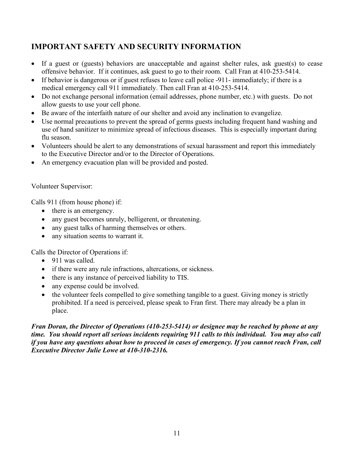# **IMPORTANT SAFETY AND SECURITY INFORMATION**

- If a guest or (guests) behaviors are unacceptable and against shelter rules, ask guest(s) to cease offensive behavior. If it continues, ask guest to go to their room. Call Fran at 410-253-5414.
- If behavior is dangerous or if guest refuses to leave call police -911- immediately; if there is a medical emergency call 911 immediately. Then call Fran at 410-253-5414.
- Do not exchange personal information (email addresses, phone number, etc.) with guests. Do not allow guests to use your cell phone.
- Be aware of the interfaith nature of our shelter and avoid any inclination to evangelize.
- Use normal precautions to prevent the spread of germs guests including frequent hand washing and use of hand sanitizer to minimize spread of infectious diseases. This is especially important during flu season.
- Volunteers should be alert to any demonstrations of sexual harassment and report this immediately to the Executive Director and/or to the Director of Operations.
- An emergency evacuation plan will be provided and posted.

#### Volunteer Supervisor:

Calls 911 (from house phone) if:

- there is an emergency.
- any guest becomes unruly, belligerent, or threatening.
- any guest talks of harming themselves or others.
- any situation seems to warrant it.

Calls the Director of Operations if:

- 911 was called.
- if there were any rule infractions, altercations, or sickness.
- there is any instance of perceived liability to TIS.
- any expense could be involved.
- the volunteer feels compelled to give something tangible to a guest. Giving money is strictly prohibited. If a need is perceived, please speak to Fran first. There may already be a plan in place.

#### *Fran Doran, the Director of Operations (410-253-5414) or designee may be reached by phone at any time. You should report all serious incidents requiring 911 calls to this individual. You may also call if you have any questions about how to proceed in cases of emergency. If you cannot reach Fran, call Executive Director Julie Lowe at 410-310-2316.*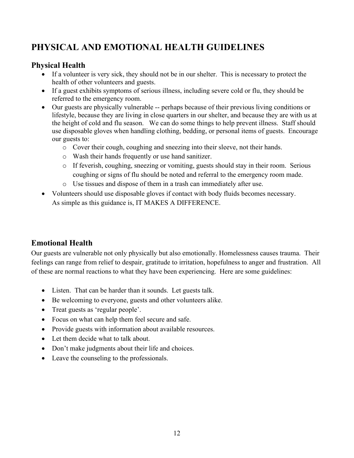# **PHYSICAL AND EMOTIONAL HEALTH GUIDELINES**

### **Physical Health**

- If a volunteer is very sick, they should not be in our shelter. This is necessary to protect the health of other volunteers and guests.
- If a guest exhibits symptoms of serious illness, including severe cold or flu, they should be referred to the emergency room.
- Our guests are physically vulnerable -- perhaps because of their previous living conditions or lifestyle, because they are living in close quarters in our shelter, and because they are with us at the height of cold and flu season. We can do some things to help prevent illness. Staff should use disposable gloves when handling clothing, bedding, or personal items of guests. Encourage our guests to:
	- o Cover their cough, coughing and sneezing into their sleeve, not their hands.
	- o Wash their hands frequently or use hand sanitizer.
	- o If feverish, coughing, sneezing or vomiting, guests should stay in their room. Serious coughing or signs of flu should be noted and referral to the emergency room made.
	- o Use tissues and dispose of them in a trash can immediately after use.
- Volunteers should use disposable gloves if contact with body fluids becomes necessary. As simple as this guidance is, IT MAKES A DIFFERENCE.

### **Emotional Health**

Our guests are vulnerable not only physically but also emotionally. Homelessness causes trauma. Their feelings can range from relief to despair, gratitude to irritation, hopefulness to anger and frustration. All of these are normal reactions to what they have been experiencing. Here are some guidelines:

- Listen. That can be harder than it sounds. Let guests talk.
- Be welcoming to everyone, guests and other volunteers alike.
- Treat guests as 'regular people'.
- Focus on what can help them feel secure and safe.
- Provide guests with information about available resources.
- Let them decide what to talk about.
- Don't make judgments about their life and choices.
- Leave the counseling to the professionals.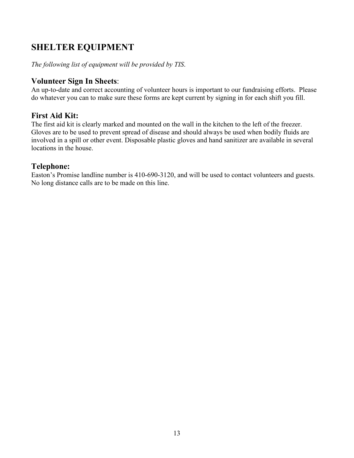# **SHELTER EQUIPMENT**

*The following list of equipment will be provided by TIS*.

### **Volunteer Sign In Sheets**:

An up-to-date and correct accounting of volunteer hours is important to our fundraising efforts. Please do whatever you can to make sure these forms are kept current by signing in for each shift you fill.

### **First Aid Kit:**

The first aid kit is clearly marked and mounted on the wall in the kitchen to the left of the freezer. Gloves are to be used to prevent spread of disease and should always be used when bodily fluids are involved in a spill or other event. Disposable plastic gloves and hand sanitizer are available in several locations in the house.

### **Telephone:**

Easton's Promise landline number is 410-690-3120, and will be used to contact volunteers and guests. No long distance calls are to be made on this line.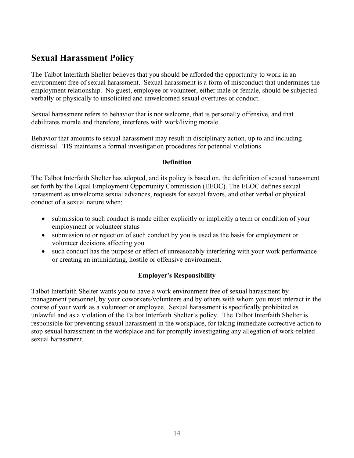# **Sexual Harassment Policy**

The Talbot Interfaith Shelter believes that you should be afforded the opportunity to work in an environment free of sexual harassment. Sexual harassment is a form of misconduct that undermines the employment relationship. No guest, employee or volunteer, either male or female, should be subjected verbally or physically to unsolicited and unwelcomed sexual overtures or conduct.

Sexual harassment refers to behavior that is not welcome, that is personally offensive, and that debilitates morale and therefore, interferes with work/living morale.

Behavior that amounts to sexual harassment may result in disciplinary action, up to and including dismissal. TIS maintains a formal investigation procedures for potential violations

#### **Definition**

The Talbot Interfaith Shelter has adopted, and its policy is based on, the definition of sexual harassment set forth by the Equal Employment Opportunity Commission (EEOC). The EEOC defines sexual harassment as unwelcome sexual advances, requests for sexual favors, and other verbal or physical conduct of a sexual nature when:

- submission to such conduct is made either explicitly or implicitly a term or condition of your employment or volunteer status
- submission to or rejection of such conduct by you is used as the basis for employment or volunteer decisions affecting you
- such conduct has the purpose or effect of unreasonably interfering with your work performance or creating an intimidating, hostile or offensive environment.

#### **Employer's Responsibility**

Talbot Interfaith Shelter wants you to have a work environment free of sexual harassment by management personnel, by your coworkers/volunteers and by others with whom you must interact in the course of your work as a volunteer or employee. Sexual harassment is specifically prohibited as unlawful and as a violation of the Talbot Interfaith Shelter's policy. The Talbot Interfaith Shelter is responsible for preventing sexual harassment in the workplace, for taking immediate corrective action to stop sexual harassment in the workplace and for promptly investigating any allegation of work-related sexual harassment.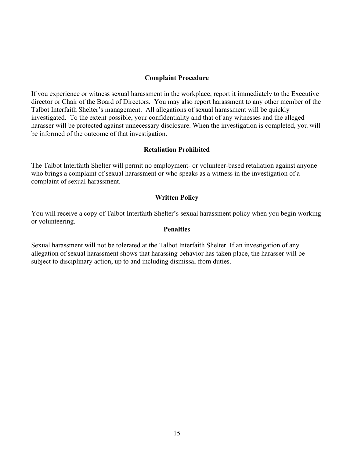#### **Complaint Procedure**

If you experience or witness sexual harassment in the workplace, report it immediately to the Executive director or Chair of the Board of Directors. You may also report harassment to any other member of the Talbot Interfaith Shelter's management. All allegations of sexual harassment will be quickly investigated. To the extent possible, your confidentiality and that of any witnesses and the alleged harasser will be protected against unnecessary disclosure. When the investigation is completed, you will be informed of the outcome of that investigation.

#### **Retaliation Prohibited**

The Talbot Interfaith Shelter will permit no employment- or volunteer-based retaliation against anyone who brings a complaint of sexual harassment or who speaks as a witness in the investigation of a complaint of sexual harassment.

#### **Written Policy**

You will receive a copy of Talbot Interfaith Shelter's sexual harassment policy when you begin working or volunteering.

#### **Penalties**

Sexual harassment will not be tolerated at the Talbot Interfaith Shelter. If an investigation of any allegation of sexual harassment shows that harassing behavior has taken place, the harasser will be subject to disciplinary action, up to and including dismissal from duties.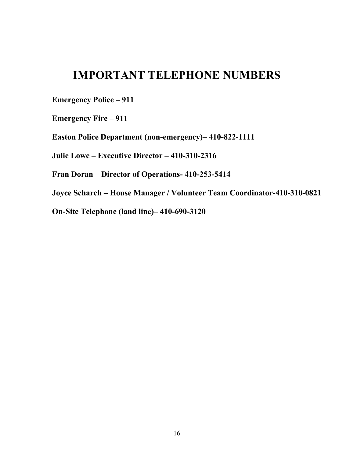# **IMPORTANT TELEPHONE NUMBERS**

**Emergency Police – 911**

**Emergency Fire – 911**

**Easton Police Department (non-emergency)– 410-822-1111**

**Julie Lowe – Executive Director – 410-310-2316**

**Fran Doran – Director of Operations- 410-253-5414**

**Joyce Scharch – House Manager / Volunteer Team Coordinator-410-310-0821**

**On-Site Telephone (land line)– 410-690-3120**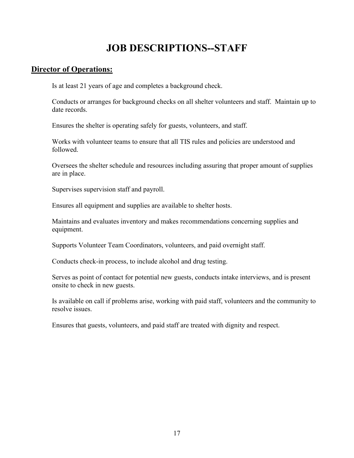# **JOB DESCRIPTIONS--STAFF**

#### **Director of Operations:**

Is at least 21 years of age and completes a background check.

Conducts or arranges for background checks on all shelter volunteers and staff. Maintain up to date records.

Ensures the shelter is operating safely for guests, volunteers, and staff.

Works with volunteer teams to ensure that all TIS rules and policies are understood and followed.

Oversees the shelter schedule and resources including assuring that proper amount of supplies are in place.

Supervises supervision staff and payroll.

Ensures all equipment and supplies are available to shelter hosts.

Maintains and evaluates inventory and makes recommendations concerning supplies and equipment.

Supports Volunteer Team Coordinators, volunteers, and paid overnight staff.

Conducts check-in process, to include alcohol and drug testing.

Serves as point of contact for potential new guests, conducts intake interviews, and is present onsite to check in new guests.

Is available on call if problems arise, working with paid staff, volunteers and the community to resolve issues.

Ensures that guests, volunteers, and paid staff are treated with dignity and respect.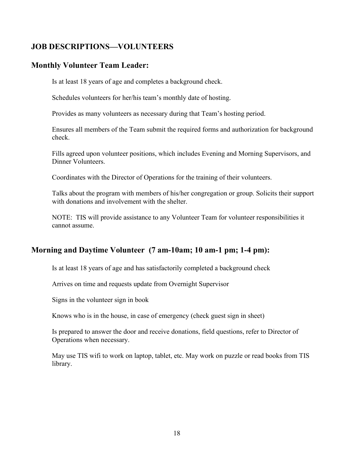### **JOB DESCRIPTIONS—VOLUNTEERS**

### **Monthly Volunteer Team Leader:**

Is at least 18 years of age and completes a background check.

Schedules volunteers for her/his team's monthly date of hosting.

Provides as many volunteers as necessary during that Team's hosting period.

Ensures all members of the Team submit the required forms and authorization for background check.

Fills agreed upon volunteer positions, which includes Evening and Morning Supervisors, and Dinner Volunteers.

Coordinates with the Director of Operations for the training of their volunteers.

Talks about the program with members of his/her congregation or group. Solicits their support with donations and involvement with the shelter.

NOTE: TIS will provide assistance to any Volunteer Team for volunteer responsibilities it cannot assume.

### **Morning and Daytime Volunteer (7 am-10am; 10 am-1 pm; 1-4 pm):**

Is at least 18 years of age and has satisfactorily completed a background check

Arrives on time and requests update from Overnight Supervisor

Signs in the volunteer sign in book

Knows who is in the house, in case of emergency (check guest sign in sheet)

Is prepared to answer the door and receive donations, field questions, refer to Director of Operations when necessary.

May use TIS wifi to work on laptop, tablet, etc. May work on puzzle or read books from TIS library.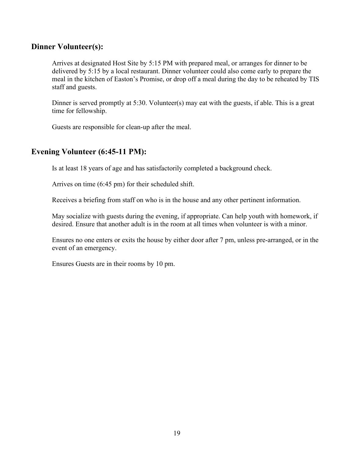#### **Dinner Volunteer(s):**

Arrives at designated Host Site by 5:15 PM with prepared meal, or arranges for dinner to be delivered by 5:15 by a local restaurant. Dinner volunteer could also come early to prepare the meal in the kitchen of Easton's Promise, or drop off a meal during the day to be reheated by TIS staff and guests.

Dinner is served promptly at 5:30. Volunteer(s) may eat with the guests, if able. This is a great time for fellowship.

Guests are responsible for clean-up after the meal.

### **Evening Volunteer (6:45-11 PM):**

Is at least 18 years of age and has satisfactorily completed a background check.

Arrives on time (6:45 pm) for their scheduled shift.

Receives a briefing from staff on who is in the house and any other pertinent information.

May socialize with guests during the evening, if appropriate. Can help youth with homework, if desired. Ensure that another adult is in the room at all times when volunteer is with a minor.

Ensures no one enters or exits the house by either door after 7 pm, unless pre-arranged, or in the event of an emergency.

Ensures Guests are in their rooms by 10 pm.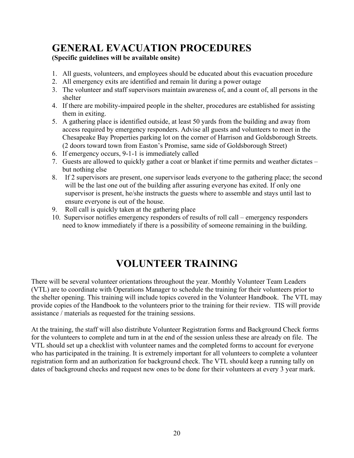# **GENERAL EVACUATION PROCEDURES**

### **(Specific guidelines will be available onsite)**

- 1. All guests, volunteers, and employees should be educated about this evacuation procedure
- 2. All emergency exits are identified and remain lit during a power outage
- 3. The volunteer and staff supervisors maintain awareness of, and a count of, all persons in the shelter
- 4. If there are mobility-impaired people in the shelter, procedures are established for assisting them in exiting.
- 5. A gathering place is identified outside, at least 50 yards from the building and away from access required by emergency responders. Advise all guests and volunteers to meet in the Chesapeake Bay Properties parking lot on the corner of Harrison and Goldsborough Streets. (2 doors toward town from Easton's Promise, same side of Goldsborough Street)
- 6. If emergency occurs, 9-1-1 is immediately called
- 7. Guests are allowed to quickly gather a coat or blanket if time permits and weather dictates but nothing else
- 8. If 2 supervisors are present, one supervisor leads everyone to the gathering place; the second will be the last one out of the building after assuring everyone has exited. If only one supervisor is present, he/she instructs the guests where to assemble and stays until last to ensure everyone is out of the house.
- 9. Roll call is quickly taken at the gathering place
- 10. Supervisor notifies emergency responders of results of roll call emergency responders need to know immediately if there is a possibility of someone remaining in the building.

# **VOLUNTEER TRAINING**

There will be several volunteer orientations throughout the year. Monthly Volunteer Team Leaders (VTL) are to coordinate with Operations Manager to schedule the training for their volunteers prior to the shelter opening. This training will include topics covered in the Volunteer Handbook. The VTL may provide copies of the Handbook to the volunteers prior to the training for their review. TIS will provide assistance / materials as requested for the training sessions.

At the training, the staff will also distribute Volunteer Registration forms and Background Check forms for the volunteers to complete and turn in at the end of the session unless these are already on file. The VTL should set up a checklist with volunteer names and the completed forms to account for everyone who has participated in the training. It is extremely important for all volunteers to complete a volunteer registration form and an authorization for background check. The VTL should keep a running tally on dates of background checks and request new ones to be done for their volunteers at every 3 year mark.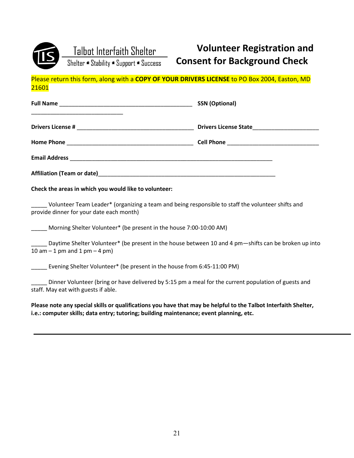

# **Volunteer Registration and Consent for Background Check**

Please return this form, along with a **COPY OF YOUR DRIVERS LICENSE** to PO Box 2004, Easton, MD 21601

| <b>SSN</b> (Optional) |
|-----------------------|
|                       |
|                       |
|                       |
|                       |

**Check the areas in which you would like to volunteer:**

Volunteer Team Leader\* (organizing a team and being responsible to staff the volunteer shifts and provide dinner for your date each month)

Morning Shelter Volunteer\* (be present in the house 7:00-10:00 AM)

Daytime Shelter Volunteer\* (be present in the house between 10 and 4 pm—shifts can be broken up into 10 am  $-1$  pm and 1 pm  $-4$  pm)

Evening Shelter Volunteer\* (be present in the house from 6:45-11:00 PM)

Dinner Volunteer (bring or have delivered by 5:15 pm a meal for the current population of guests and staff. May eat with guests if able.

**Please note any special skills or qualifications you have that may be helpful to the Talbot Interfaith Shelter, i.e.: computer skills; data entry; tutoring; building maintenance; event planning, etc.**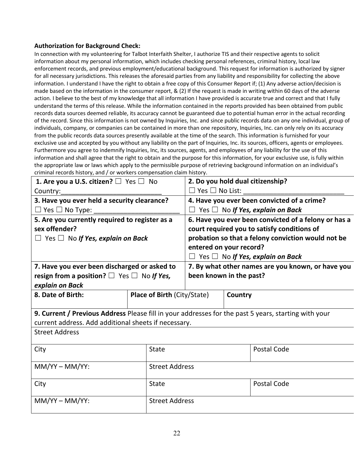#### **Authorization for Background Check:**

In connection with my volunteering for Talbot Interfaith Shelter, I authorize TIS and their respective agents to solicit information about my personal information, which includes checking personal references, criminal history, local law enforcement records, and previous employment/educational background. This request for information is authorized by signer for all necessary jurisdictions. This releases the aforesaid parties from any liability and responsibility for collecting the above information. I understand I have the right to obtain a free copy of this Consumer Report if; (1) Any adverse action/decision is made based on the information in the consumer report, & (2) If the request is made in writing within 60 days of the adverse action. I believe to the best of my knowledge that all information I have provided is accurate true and correct and that I fully understand the terms of this release. While the information contained in the reports provided has been obtained from public records data sources deemed reliable, its accuracy cannot be guaranteed due to potential human error in the actual recording of the record. Since this information is not owned by Inquiries, Inc. and since public records data on any one individual, group of individuals, company, or companies can be contained in more than one repository, Inquiries, Inc. can only rely on its accuracy from the public records data sources presently available at the time of the search. This information is furnished for your exclusive use and accepted by you without any liability on the part of Inquiries, Inc. its sources, officers, agents or employees. Furthermore you agree to indemnify Inquiries, Inc, its sources, agents, and employees of any liability for the use of this information and shall agree that the right to obtain and the purpose for this information, for your exclusive use, is fully within the appropriate law or laws which apply to the permissible purpose of retrieving background information on an individual's criminal records history, and / or workers compensation claim history.

| 1. Are you a U.S. citizen? $\Box$ Yes $\Box$ No                                                      |                                              |                                                      | 2. Do you hold dual citizenship?                  |             |
|------------------------------------------------------------------------------------------------------|----------------------------------------------|------------------------------------------------------|---------------------------------------------------|-------------|
| Country:                                                                                             | $\Box$ Yes $\Box$ No List:                   |                                                      |                                                   |             |
| 4. Have you ever been convicted of a crime?<br>3. Have you ever held a security clearance?           |                                              |                                                      |                                                   |             |
| $\Box$ Yes $\Box$ No Type:<br>Yes $\Box$ No If Yes, explain on Back<br>$\Box$                        |                                              |                                                      |                                                   |             |
| 5. Are you currently required to register as a                                                       |                                              | 6. Have you ever been convicted of a felony or has a |                                                   |             |
| sex offender?                                                                                        |                                              | court required you to satisfy conditions of          |                                                   |             |
| probation so that a felony conviction would not be<br>$\Box$ Yes $\Box$ No If Yes, explain on Back   |                                              |                                                      |                                                   |             |
| entered on your record?                                                                              |                                              |                                                      |                                                   |             |
|                                                                                                      | $\Box$ Yes $\Box$ No If Yes, explain on Back |                                                      |                                                   |             |
|                                                                                                      | 7. Have you ever been discharged or asked to |                                                      | 7. By what other names are you known, or have you |             |
| resign from a position? $\Box$ Yes $\Box$ No If Yes,                                                 |                                              | been known in the past?                              |                                                   |             |
| explain on Back                                                                                      |                                              |                                                      |                                                   |             |
| 8. Date of Birth:                                                                                    |                                              | <b>Place of Birth (City/State)</b><br>Country        |                                                   |             |
|                                                                                                      |                                              |                                                      |                                                   |             |
| 9. Current / Previous Address Please fill in your addresses for the past 5 years, starting with your |                                              |                                                      |                                                   |             |
| current address. Add additional sheets if necessary.                                                 |                                              |                                                      |                                                   |             |
| <b>Street Address</b>                                                                                |                                              |                                                      |                                                   |             |
| City                                                                                                 | <b>State</b>                                 |                                                      |                                                   | Postal Code |
|                                                                                                      |                                              |                                                      |                                                   |             |
| $MM/YY-MM/YY:$                                                                                       |                                              | <b>Street Address</b>                                |                                                   |             |
| City                                                                                                 | <b>State</b>                                 | Postal Code                                          |                                                   |             |
| $MM/YY-MM/YY:$                                                                                       |                                              | <b>Street Address</b>                                |                                                   |             |